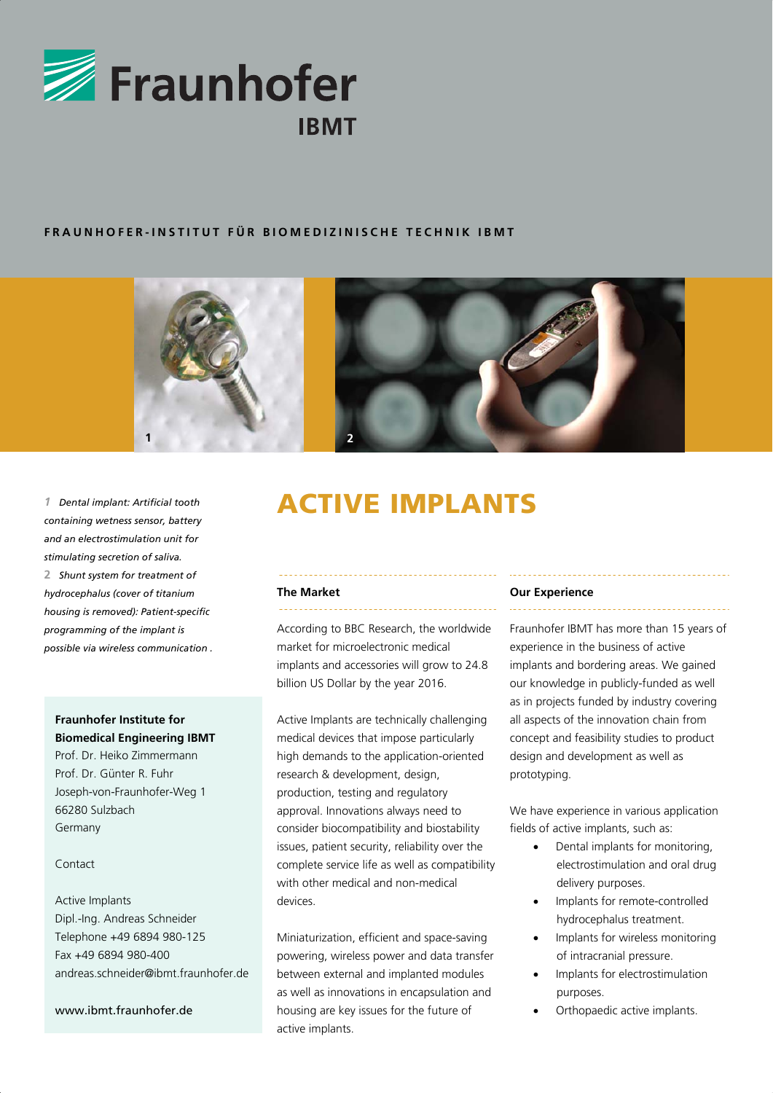

## **FRAUNHOFER-INSTITUT FÜR BIOMEDIZINISCHE TECHNIK IBMT**





*containing wetness sensor, battery and an electrostimulation unit for stimulating secretion of saliva.*  **2** *Shunt system for treatment of hydrocephalus (cover of titanium housing is removed): Patient-specific programming of the implant is possible via wireless communication .* 

## **Fraunhofer Institute for Biomedical Engineering IBMT**

Prof. Dr. Heiko Zimmermann Prof. Dr. Günter R. Fuhr Joseph-von-Fraunhofer-Weg 1 66280 Sulzbach Germany

## Contact

Active Implants Dipl.-Ing. Andreas Schneider Telephone +49 6894 980-125 Fax +49 6894 980-400 andreas.schneider@ibmt.fraunhofer.de

www.ibmt.fraunhofer.de

# 1 Dental implant: Artificial tooth **ACTIVE IMPLANTS**

## **The Market**

According to BBC Research, the worldwide market for microelectronic medical implants and accessories will grow to 24.8 billion US Dollar by the year 2016.

Active Implants are technically challenging medical devices that impose particularly high demands to the application-oriented research & development, design, production, testing and regulatory approval. Innovations always need to consider biocompatibility and biostability issues, patient security, reliability over the complete service life as well as compatibility with other medical and non-medical devices.

Miniaturization, efficient and space-saving powering, wireless power and data transfer between external and implanted modules as well as innovations in encapsulation and housing are key issues for the future of active implants.

#### **Our Experience**

Fraunhofer IBMT has more than 15 years of experience in the business of active implants and bordering areas. We gained our knowledge in publicly-funded as well as in projects funded by industry covering all aspects of the innovation chain from concept and feasibility studies to product design and development as well as prototyping.

We have experience in various application fields of active implants, such as:

- Dental implants for monitoring, electrostimulation and oral drug delivery purposes.
- Implants for remote-controlled hydrocephalus treatment.
- Implants for wireless monitoring of intracranial pressure.
- Implants for electrostimulation purposes.
- Orthopaedic active implants.